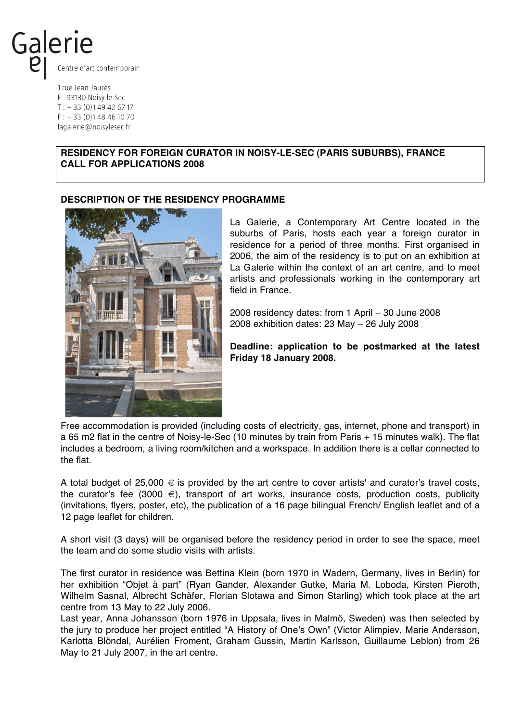

1 rue Jean-Jaurès F - 93130 Noisy-le-Sec  $T: +33(0)149426717$  $F: +33(0)148461070$ lagalerie@noisylesec.fr

## **RESIDENCY FOR FOREIGN CURATOR IN NOISY-LE-SEC (PARIS SUBURBS), FRANCE CALL FOR APPLICATIONS 2008**

#### **DESCRIPTION OF THE RESIDENCY PROGRAMME**



La Galerie, a Contemporary Art Centre located in the suburbs of Paris, hosts each year a foreign curator in residence for a period of three months. First organised in 2006, the aim of the residency is to put on an exhibition at La Galerie within the context of an art centre, and to meet artists and professionals working in the contemporary art field in France.

2008 residency dates: from 1 April – 30 June 2008 2008 exhibition dates: 23 May – 26 July 2008

**Deadline: application to be postmarked at the latest Friday 18 January 2008.**

Free accommodation is provided (including costs of electricity, gas, internet, phone and transport) in a 65 m2 flat in the centre of Noisy-le-Sec (10 minutes by train from Paris + 15 minutes walk). The flat includes a bedroom, a living room/kitchen and a workspace. In addition there is a cellar connected to the flat.

A total budget of  $25,000 \in \mathbb{S}$  provided by the art centre to cover artists' and curator's travel costs, the curator's fee (3000  $\epsilon$ ), transport of art works, insurance costs, production costs, publicity (invitations, flyers, poster, etc), the publication of a 16 page bilingual French/ English leaflet and of a 12 page leaflet for children.

A short visit (3 days) will be organised before the residency period in order to see the space, meet the team and do some studio visits with artists.

The first curator in residence was Bettina Klein (born 1970 in Wadern, Germany, lives in Berlin) for her exhibition "Objet à part" (Ryan Gander, Alexander Gutke, Maria M. Loboda, Kirsten Pieroth, Wilhelm Sasnal, Albrecht Schäfer, Florian Slotawa and Simon Starling) which took place at the art centre from 13 May to 22 July 2006.

Last year, Anna Johansson (born 1976 in Uppsala, lives in Malmö, Sweden) was then selected by the jury to produce her project entitled "A History of One"s Own" (Victor Alimpiev, Marie Andersson, Karlotta Blöndal, Aurélien Froment, Graham Gussin, Martin Karlsson, Guillaume Leblon) from 26 May to 21 July 2007, in the art centre.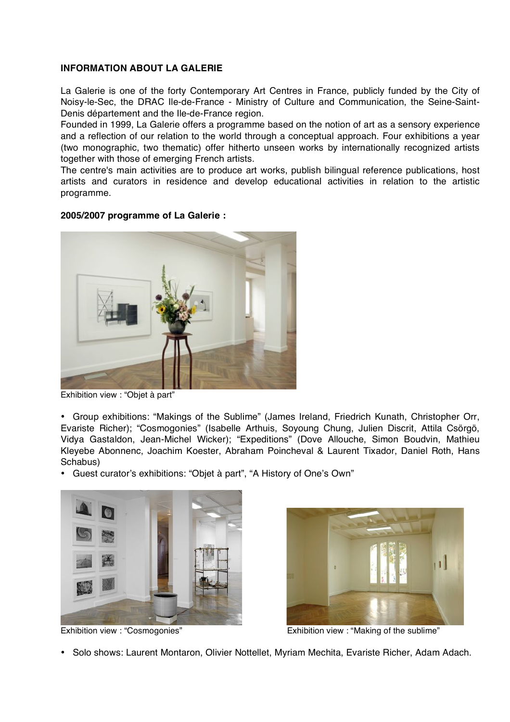## **INFORMATION ABOUT LA GALERIE**

La Galerie is one of the forty Contemporary Art Centres in France, publicly funded by the City of Noisy-le-Sec, the DRAC Ile-de-France - Ministry of Culture and Communication, the Seine-Saint-Denis département and the Ile-de-France region.

Founded in 1999, La Galerie offers a programme based on the notion of art as a sensory experience and a reflection of our relation to the world through a conceptual approach. Four exhibitions a year (two monographic, two thematic) offer hitherto unseen works by internationally recognized artists together with those of emerging French artists.

The centre's main activities are to produce art works, publish bilingual reference publications, host artists and curators in residence and develop educational activities in relation to the artistic programme.

## **2005/2007 programme of La Galerie :**



Exhibition view : "Objet à part"

• Group exhibitions: "Makings of the Sublime" (James Ireland, Friedrich Kunath, Christopher Orr, Evariste Richer); "Cosmogonies" (Isabelle Arthuis, Soyoung Chung, Julien Discrit, Attila Csörgö, Vidya Gastaldon, Jean-Michel Wicker); "Expeditions" (Dove Allouche, Simon Boudvin, Mathieu Kleyebe Abonnenc, Joachim Koester, Abraham Poincheval & Laurent Tixador, Daniel Roth, Hans Schabus)

• Guest curator"s exhibitions: "Objet à part", "A History of One"s Own"





Exhibition view : "Cosmogonies" Exhibition view : "Making of the sublime"

• Solo shows: Laurent Montaron, Olivier Nottellet, Myriam Mechita, Evariste Richer, Adam Adach.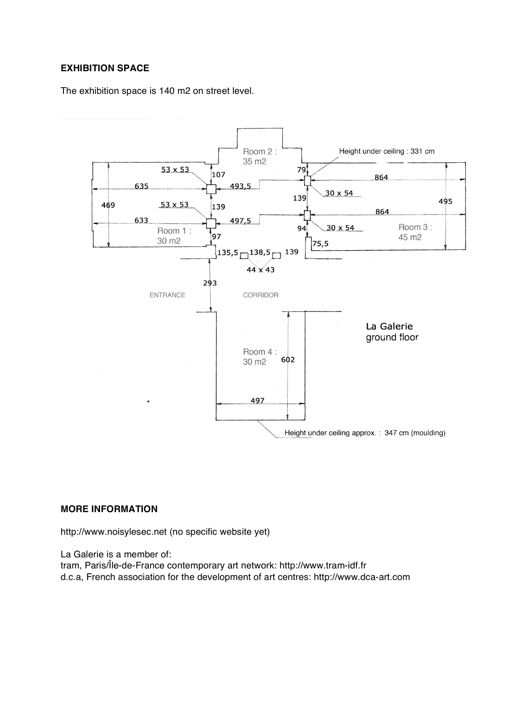## **EXHIBITION SPACE**

The exhibition space is 140 m2 on street level.



#### **MORE INFORMATION**

http://www.noisylesec.net (no specific website yet)

La Galerie is a member of:

tram, Paris/Île-de-France contemporary art network: http://www.tram-idf.fr d.c.a, French association for the development of art centres: http://www.dca-art.com